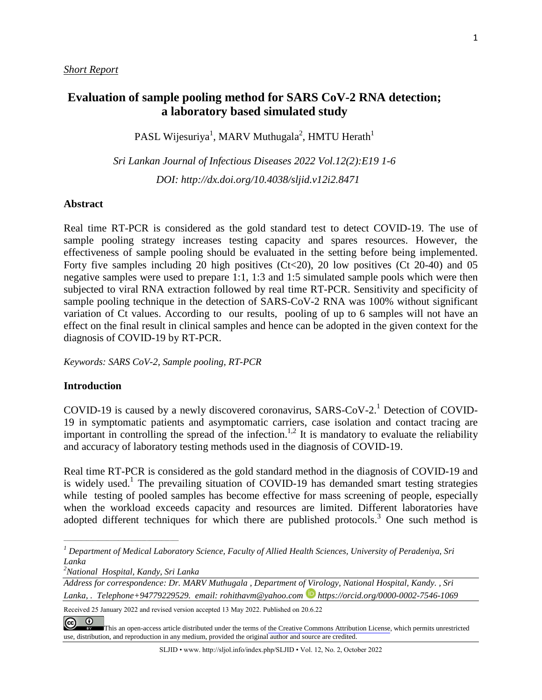# **Evaluation of sample pooling method for SARS CoV-2 RNA detection; a laboratory based simulated study**

PASL Wijesuriya<sup>1</sup>, MARV Muthugala<sup>2</sup>, HMTU Herath<sup>1</sup>

*Sri Lankan Journal of Infectious Diseases 2022 Vol.12(2):E19 1-6 DOI: [http://dx.doi.org/1](about:blank)0.4038/sljid.v12i2.8471*

#### **Abstract**

Real time RT-PCR is considered as the gold standard test to detect COVID-19. The use of sample pooling strategy increases testing capacity and spares resources. However, the effectiveness of sample pooling should be evaluated in the setting before being implemented. Forty five samples including 20 high positives  $(Ct<20)$ , 20 low positives  $(Ct 20-40)$  and 05 negative samples were used to prepare 1:1, 1:3 and 1:5 simulated sample pools which were then subjected to viral RNA extraction followed by real time RT-PCR. Sensitivity and specificity of sample pooling technique in the detection of SARS-CoV-2 RNA was 100% without significant variation of Ct values. According to our results, pooling of up to 6 samples will not have an effect on the final result in clinical samples and hence can be adopted in the given context for the diagnosis of COVID-19 by RT-PCR.

*Keywords: SARS CoV-2, Sample pooling, RT-PCR*

### **Introduction**

COVID-19 is caused by a newly discovered coronavirus, SARS-CoV-2.<sup>1</sup> Detection of COVID-19 in symptomatic patients and asymptomatic carriers, case isolation and contact tracing are important in controlling the spread of the infection.<sup>1,2</sup> It is mandatory to evaluate the reliability and accuracy of laboratory testing methods used in the diagnosis of COVID-19.

Real time RT-PCR is considered as the gold standard method in the diagnosis of COVID-19 and is widely used.<sup>1</sup> The prevailing situation of COVID-19 has demanded smart testing strategies while testing of pooled samples has become effective for mass screening of people, especially when the workload exceeds capacity and resources are limited. Different laboratories have adopted different techniques for which there are published protocols.<sup>3</sup> One such method is

*2 National Hospital, Kandy, Sri Lanka*

*\_\_\_\_\_\_\_\_\_\_\_\_\_\_\_\_\_\_\_\_\_\_\_\_\_\_\_\_\_\_\_\_\_\_\_\_\_\_\_\_*

*Address for correspondence: Dr. MARV Muthugala , Department of Virology, National Hospital, Kandy. , Sri Lanka, . Telephone+94779229529. email: rohithavm@yahoo.com https://orcid.org/0000-0002-7546-1069*

Received 25 January 2022 and revised version accepted 13 May 2022. Published on 20.6.22



[T](https://creativecommons.org/licenses/by/4.0/)his an open-access article distributed under the terms of the Creative Commons [Attribution](https://creativecommons.org/licenses/by/4.0/) License, which permits unrestricted use, distribution, and reproduction in any medium, provided the original author and source are credited.

*<sup>1</sup> Department of Medical Laboratory Science, Faculty of Allied Health Sciences, University of Peradeniya, Sri Lanka*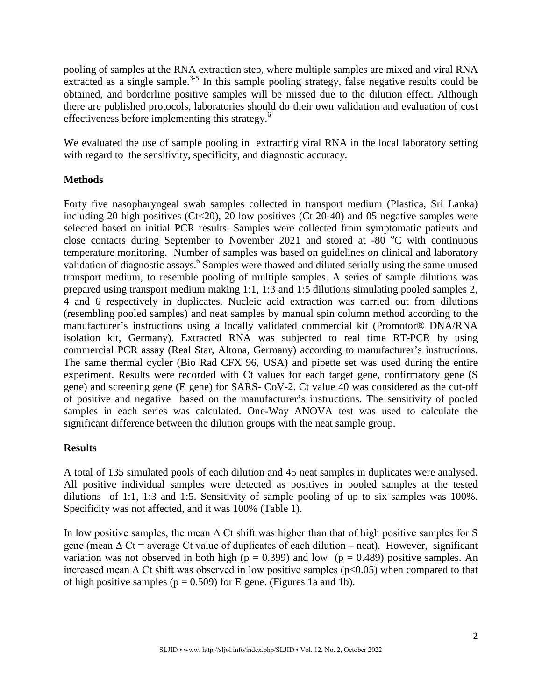pooling of samples at the RNA extraction step, where multiple samples are mixed and viral RNA extracted as a single sample.<sup>3-5</sup> In this sample pooling strategy, false negative results could be obtained, and borderline positive samples will be missed due to the dilution effect. Although there are published protocols, laboratories should do their own validation and evaluation of cost effectiveness before implementing this strategy.<sup>6</sup>

We evaluated the use of sample pooling in extracting viral RNA in the local laboratory setting with regard to the sensitivity, specificity, and diagnostic accuracy.

## **Methods**

Forty five nasopharyngeal swab samples collected in transport medium (Plastica, Sri Lanka) including 20 high positives ( $Ct<20$ ), 20 low positives ( $Ct$  20-40) and 05 negative samples were selected based on initial PCR results. Samples were collected from symptomatic patients and close contacts during September to November 2021 and stored at -80  $^{\circ}$ C with continuous temperature monitoring. Number of samples was based on guidelines on clinical and laboratory validation of diagnostic assays. <sup>6</sup> Samples were thawed and diluted serially using the same unused transport medium, to resemble pooling of multiple samples. A series of sample dilutions was prepared using transport medium making 1:1, 1:3 and 1:5 dilutions simulating pooled samples 2, 4 and 6 respectively in duplicates. Nucleic acid extraction was carried out from dilutions (resembling pooled samples) and neat samples by manual spin column method according to the manufacturer's instructions using a locally validated commercial kit (Promotor® DNA/RNA isolation kit, Germany). Extracted RNA was subjected to real time RT-PCR by using commercial PCR assay (Real Star, Altona, Germany) according to manufacturer's instructions. The same thermal cycler (Bio Rad CFX 96, USA) and pipette set was used during the entire experiment. Results were recorded with Ct values for each target gene, confirmatory gene (S gene) and screening gene (E gene) for SARS- CoV-2. Ct value 40 was considered as the cut-off of positive and negative based on the manufacturer's instructions. The sensitivity of pooled samples in each series was calculated. One-Way ANOVA test was used to calculate the significant difference between the dilution groups with the neat sample group.

## **Results**

A total of 135 simulated pools of each dilution and 45 neat samples in duplicates were analysed. All positive individual samples were detected as positives in pooled samples at the tested dilutions of 1:1, 1:3 and 1:5. Sensitivity of sample pooling of up to six samples was 100%. Specificity was not affected, and it was 100% (Table 1).

In low positive samples, the mean  $\Delta$  Ct shift was higher than that of high positive samples for S gene (mean  $\Delta$  Ct = average Ct value of duplicates of each dilution – neat). However, significant variation was not observed in both high ( $p = 0.399$ ) and low ( $p = 0.489$ ) positive samples. An increased mean  $\Delta$  Ct shift was observed in low positive samples ( $p<0.05$ ) when compared to that of high positive samples ( $p = 0.509$ ) for E gene. (Figures 1a and 1b).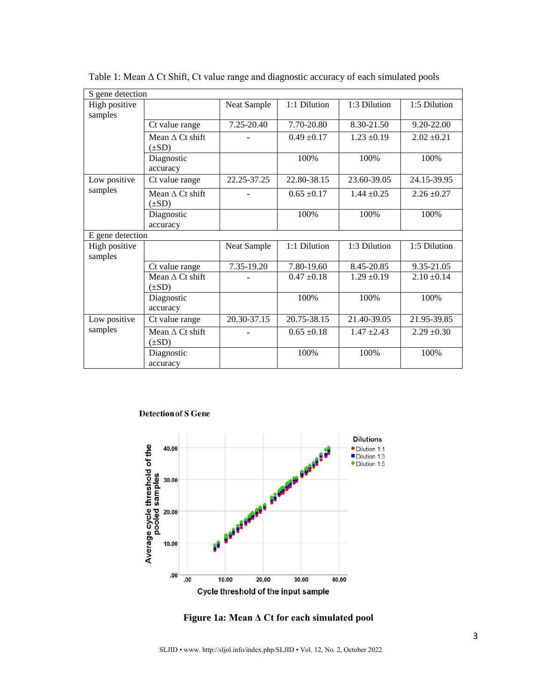| S gene detection        |                        |             |                 |                 |                 |
|-------------------------|------------------------|-------------|-----------------|-----------------|-----------------|
| High positive           |                        | Neat Sample | 1:1 Dilution    | 1:3 Dilution    | 1:5 Dilution    |
| samples                 |                        |             |                 |                 |                 |
|                         | Ct value range         | 7.25-20.40  | 7.70-20.80      | 8.30-21.50      | 9.20-22.00      |
|                         | Mean $\Delta$ Ct shift |             | $0.49 \pm 0.17$ | $1.23 \pm 0.19$ | $2.02 \pm 0.21$ |
|                         | $(\pm SD)$             |             |                 |                 |                 |
|                         | Diagnostic             |             | 100%            | 100%            | 100%            |
|                         | accuracy               |             |                 |                 |                 |
| Low positive<br>samples | Ct value range         | 22.25-37.25 | 22.80-38.15     | 23.60-39.05     | 24.15-39.95     |
|                         | Mean $\Delta$ Ct shift |             | $0.65 \pm 0.17$ | $1.44 \pm 0.25$ | $2.26 \pm 0.27$ |
|                         | $(\pm SD)$             |             |                 |                 |                 |
|                         | Diagnostic             |             | 100%            | 100%            | 100%            |
|                         | accuracy               |             |                 |                 |                 |
| E gene detection        |                        |             |                 |                 |                 |
| High positive           |                        | Neat Sample | 1:1 Dilution    | 1:3 Dilution    | 1:5 Dilution    |
| samples                 |                        |             |                 |                 |                 |
|                         | Ct value range         | 7.35-19.20  | 7.80-19.60      | 8.45-20.85      | 9.35-21.05      |
|                         | Mean $\Delta$ Ct shift |             | $0.47 \pm 0.18$ | $1.29 \pm 0.19$ | $2.10 \pm 0.14$ |
|                         | $(\pm SD)$             |             |                 |                 |                 |
|                         | Diagnostic             |             | 100%            | 100%            | 100%            |
|                         | accuracy               |             |                 |                 |                 |
| Low positive<br>samples | Ct value range         | 20.30-37.15 | 20.75-38.15     | 21.40-39.05     | 21.95-39.85     |
|                         | Mean $\Delta$ Ct shift |             | $0.65 \pm 0.18$ | $1.47 \pm 2.43$ | $2.29 \pm 0.30$ |
|                         | $(\pm SD)$             |             |                 |                 |                 |
|                         | Diagnostic             |             | 100%            | 100%            | 100%            |
|                         | accuracy               |             |                 |                 |                 |

Table 1: Mean Δ Ct Shift, Ct value range and diagnostic accuracy of each simulated pools

#### **Detection of S Gene**



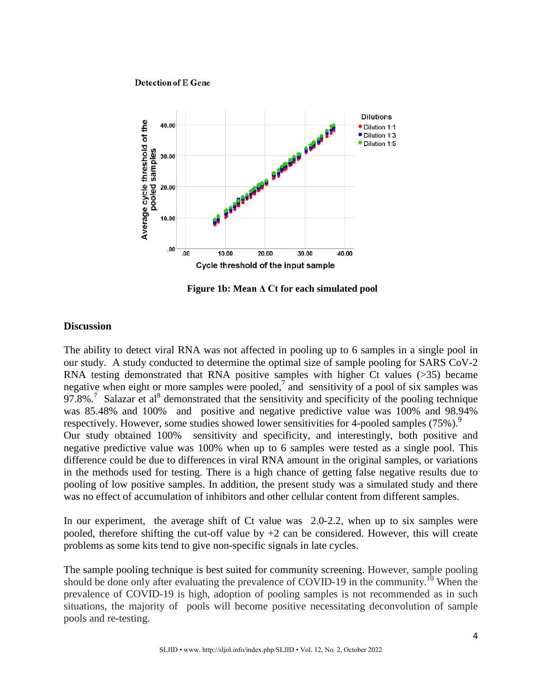#### **Detection of E Gene**



**Figure 1b: Mean Δ Ct for each simulated pool**

## **Discussion**

The ability to detect viral RNA was not affected in pooling up to 6 samples in a single pool in our study. A study conducted to determine the optimal size of sample pooling for SARS CoV-2 RNA testing demonstrated that RNA positive samples with higher Ct values (>35) became negative when eight or more samples were pooled,<sup>7</sup> and sensitivity of a pool of six samples was 97.8%.<sup>7</sup> Salazar et al<sup>8</sup> demonstrated that the sensitivity and specificity of the pooling technique was 85.48% and 100% and positive and negative predictive value was 100% and 98.94% respectively. However, some studies showed lower sensitivities for 4-pooled samples (75%).<sup>9</sup> Our study obtained 100% sensitivity and specificity, and interestingly, both positive and negative predictive value was 100% when up to 6 samples were tested as a single pool. This difference could be due to differences in viral RNA amount in the original samples, or variations in the methods used for testing. There is a high chance of getting false negative results due to pooling of low positive samples. In addition, the present study was a simulated study and there was no effect of accumulation of inhibitors and other cellular content from different samples.

In our experiment, the average shift of Ct value was 2.0-2.2, when up to six samples were pooled, therefore shifting the cut-off value by  $+2$  can be considered. However, this will create problems as some kits tend to give non-specific signals in late cycles.

The sample pooling technique is best suited for community screening. However, sample pooling should be done only after evaluating the prevalence of COVID-19 in the community.<sup>10</sup> When the prevalence of COVID-19 is high, adoption of pooling samples is not recommended as in such situations, the majority of pools will become positive necessitating deconvolution of sample pools and re-testing.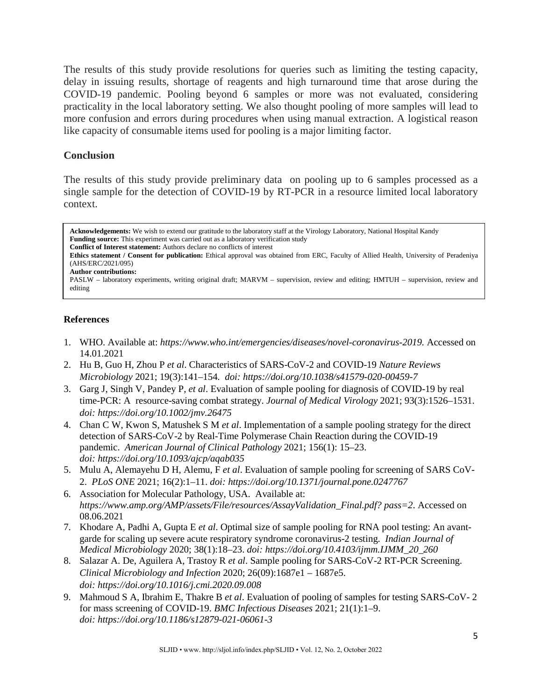The results of this study provide resolutions for queries such as limiting the testing capacity, delay in issuing results, shortage of reagents and high turnaround time that arose during the COVID-19 pandemic. Pooling beyond 6 samples or more was not evaluated, considering practicality in the local laboratory setting. We also thought pooling of more samples will lead to more confusion and errors during procedures when using manual extraction. A logistical reason like capacity of consumable items used for pooling is a major limiting factor.

## **Conclusion**

The results of this study provide preliminary data on pooling up to 6 samples processed as a single sample for the detection of COVID-19 by RT-PCR in a resource limited local laboratory context.

**Acknowledgements:** We wish to extend our gratitude to the laboratory staff at the Virology Laboratory, National Hospital Kandy **Funding source:** This experiment was carried out as a laboratory verification study **Conflict of Interest statement:** Authors declare no conflicts of interest

**Ethics statement / Consent for publication:** Ethical approval was obtained from ERC, Faculty of Allied Health, University of Peradeniya (AHS/ERC/2021/095)

**Author contributions:**

PASLW – laboratory experiments, writing original draft; MARVM – supervision, review and editing; HMTUH – supervision, review and editing

## **References**

- 1. WHO. Available at: *[https://www.who.int/emergencies/diseases/novel-coronavirus-2019.](https://www.who.int/emergencies/diseases/novel-coronavirus-2019.%20Accessed%20on%2014.01.2021)* Accessed on [14.01.2021](https://www.who.int/emergencies/diseases/novel-coronavirus-2019.%20Accessed%20on%2014.01.2021)
- 2. Hu B, Guo H, Zhou P *et al*. Characteristics of SARS-CoV-2 and COVID-19 *Nature Reviews Microbiology* 2021; 19(3):141–154*. doi: https://doi.org/10.1038/s41579-020-00459-7*
- 3. Garg J, Singh V, Pandey P, *et al*. Evaluation of sample pooling for diagnosis of COVID-19 by real time-PCR: A resource-saving combat strategy. *Journal of Medical Virology* 2021; 93(3):1526–1531. *doi: https://doi.org/10.1002/jmv.26475*
- 4. Chan C W, Kwon S, Matushek S M *et al*. Implementation of a sample pooling strategy for the direct detection of SARS-CoV-2 by Real-Time Polymerase Chain Reaction during the COVID-19 pandemic. *American Journal of Clinical Pathology* 2021; 156(1): 15–23. *doi: <https://doi.org/10.1093/ajcp/aqab035>*
- 5. Mulu A, Alemayehu D H, Alemu, F *et al*. Evaluation of sample pooling for screening of SARS CoV-2. *PLoS ONE* 2021; 16(2):1–11. *doi: https://doi.org/10.1371/journal.pone.0247767*
- 6. Association for Molecular Pathology, USA. Available at: *https://www.amp.org/AMP/assets/File/resources/AssayValidation\_Final.pdf? pass=2*. Accessed on 08.06.2021
- 7. Khodare A, Padhi A, Gupta E *et al*. Optimal size of sample pooling for RNA pool testing: An avantgarde for scaling up severe acute respiratory syndrome coronavirus-2 testing. *Indian Journal of Medical Microbiology* 2020; 38(1):18–23. *doi: [https://doi.org/10.4103/ijmm.IJMM\\_20\\_260](https://doi.org/10.4103/ijmm.IJMM_20_260)*
- 8. Salazar A. De, Aguilera A, Trastoy R *et al*. Sample pooling for SARS-CoV-2 RT-PCR Screening. *Clinical Microbiology and Infection* 2020; 26(09):1687e1 – 1687e5. *doi: https://doi.org/10.1016/j.cmi.2020.09.008*
- 9. Mahmoud S A, Ibrahim E, Thakre B *et al*. Evaluation of pooling of samples for testing SARS-CoV- 2 for mass screening of COVID-19. *BMC Infectious Diseases* 2021; 21(1):1–9. *doi: <https://doi.org/10.1186/s12879-021-06061-3>*